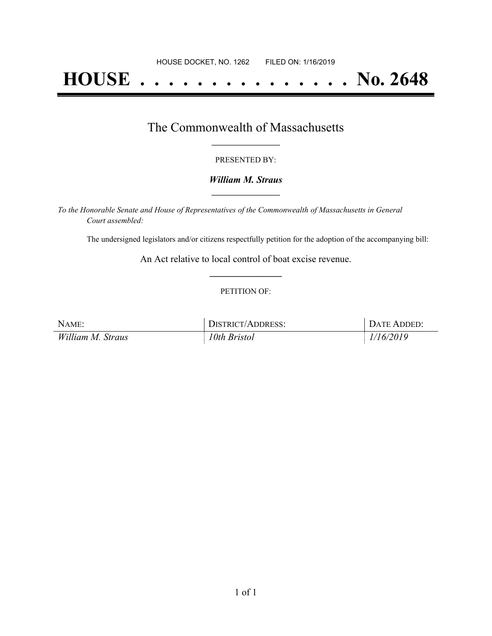# **HOUSE . . . . . . . . . . . . . . . No. 2648**

### The Commonwealth of Massachusetts **\_\_\_\_\_\_\_\_\_\_\_\_\_\_\_\_\_**

#### PRESENTED BY:

#### *William M. Straus* **\_\_\_\_\_\_\_\_\_\_\_\_\_\_\_\_\_**

*To the Honorable Senate and House of Representatives of the Commonwealth of Massachusetts in General Court assembled:*

The undersigned legislators and/or citizens respectfully petition for the adoption of the accompanying bill:

An Act relative to local control of boat excise revenue. **\_\_\_\_\_\_\_\_\_\_\_\_\_\_\_**

#### PETITION OF:

| NAME:             | DISTRICT/ADDRESS: | DATE ADDED: |
|-------------------|-------------------|-------------|
| William M. Straus | 10th Bristol      | 1/16/2019   |